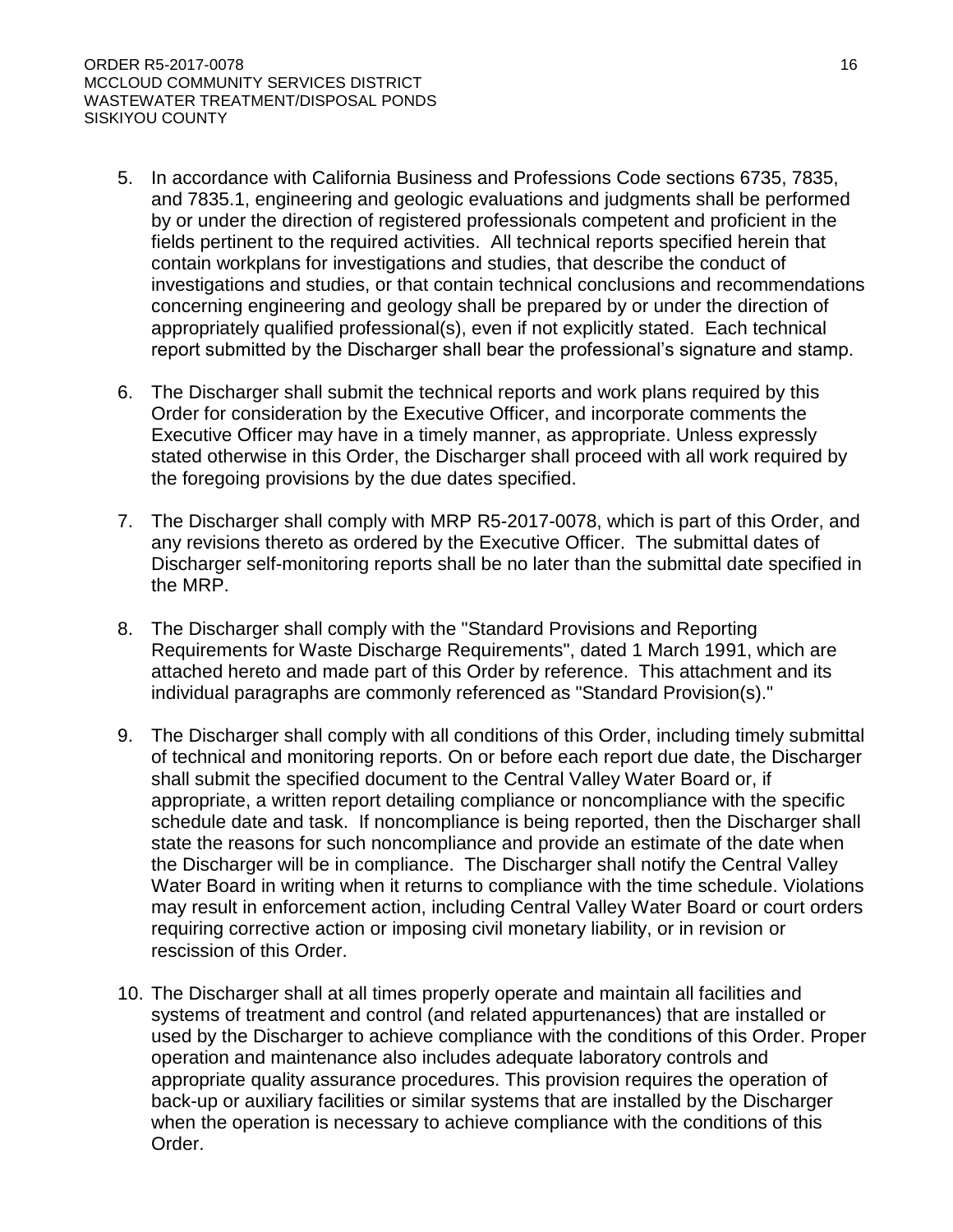### CALIFORNIA REGIONAL WATER QUALITY CONTROL BOARD CENTRAL VALLEY REGION

# ORDER R5-2017-0078

## WASTE DISCHARGE REQUIREMENTS

### FOR MCCLOUD COMMUNITY SERVICES DISTRICT WASTEWATER TREATMENT/DISPOSAL PONDS SISKIYOU COUNTY

The California Regional Water Quality Control Regional Board, Central Valley Region, (hereafter Central Valley Water Board) finds that:

- 1. On 11 May 2016, McCloud Community Services District (McCloud CSD) submitted a Report of Waste Discharge (RWD) to apply for a renewal of Waste Discharge Requirements (WDRs) for an existing publically owned Wastewater Treatment Plant (WWTP), which serves the City of McCloud. Additional information to complete the RWD was submitted on 7 December 2016 and the RWD was deemed complete on 20 December 2016.
- 2. McCloud CSD (hereafter "Discharger") owns and operates the McCloud Wastewater Treatment/Disposal Ponds (Facility) and is responsible for compliance with these WDRs.
- 3. The facility is located at Squaw Valley Rd in the city of McCloud (Section 18, T17N, R3E, MDB&M). The facility occupies Assessor's Parcel Numbers (APN) 49-06-22, 49-07-05, and 28-44-41 as indicated on Attachment A, which is attached hereto and made part of this Order by reference.
- 4. WDRs Order 97-083, adopted by the Central Valley Water Board on 25 April 1997, prescribes requirements for the facility. Order 97-083 allows an average dry weather flow of up to 300,000 gallons per day (gpd). The Discharger is not proposing any changes to the treatment system or an increase in capacity. However Order 97-083 has passed its renewal date and is due for revision. Therefore, Order 97-083 will be rescinded and replaced with this Order.

# **Background Information**

- 5. The Facility receives, on average, 155,000 gallons per day (gpd) of raw domestic sewage from approximately 700 connections in the City of McCloud; population approximately 1,300. Peak flows of 4 to 5 million gallons per month occur in June, July and August.
- 6. Wastewater historically has been discharged to one of four percolation/evaporation ponds and an overland flow/land application area west of the ponds. The discharge of wastewater to the overland flow/land application area was conducted generally during the summer month when evapotranspiration was the highest and threat of discharge to Squaw Valley Creek was the lowest.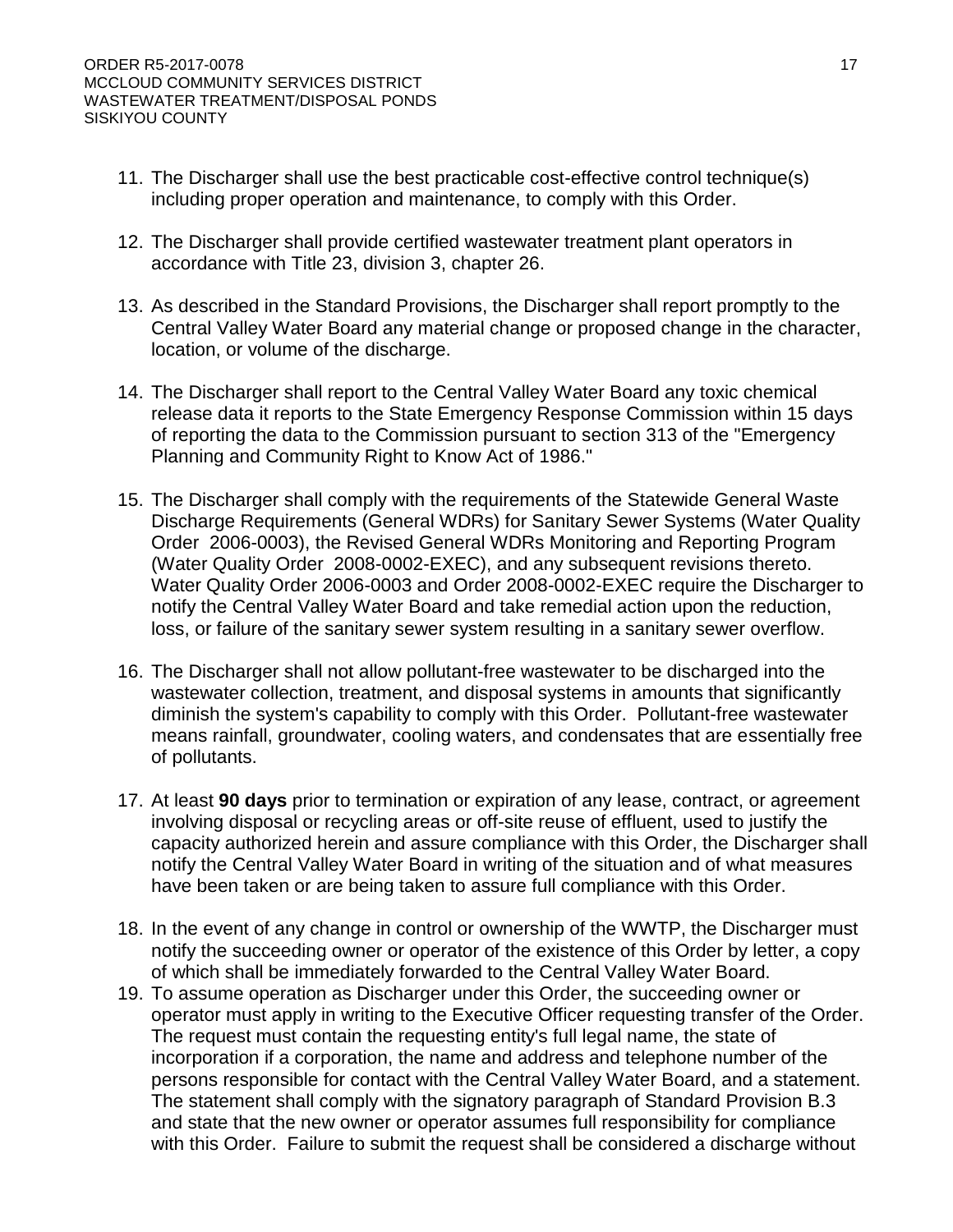- 7. Due to the discharge of wastewater percolating into open fractures in the east end of Pond 2 the Central Valley Water Board issued Cease and Desist Order (CDO) 93-248 which was adopted on 3 December 1993. The Discharger modified the inlet structure, constructed new berms, and sealed the fractures in Pond 2 and 3; constructed a new Pond 4; and constructed an overland flow area.
- 8. Due to failures of the Facility's wastewater collection system the Central Valley Water Board issued CDO R5-2000-0109, which was adopted on 15 June 2000 to address the aging and failing system. As a result the collection system was fully replaced between 2002 and 2006; at a cost of 11 million dollars.

### **Existing Facility and Discharge**

- 9. The system consists of inlet structures (flume, ultrasonic flow meter, and two distribution boxes), and four ponds. A previously permitted overland flow/ land application area will be decommissioned as indicated in Provision 1.F.c, of this order. Inlet flow can also be diverted to Pond 2 or Pond 3 to allow drying and cleanout of Pond 1. Pond 2 is segmented by an earthen berm dividing the pond into an east and west cell. Pond 4 is considerably smaller than the others and is intended for use in emergency situations. Pond areas are approximately 8.3, 6.9, 4.8, and 0.9 acres for Ponds 1 through 4, respectively.
- 10. Wastewater receives essentially no treatment before entering the Facility's pond system. Treatment in the ponds consists of natural aeration and decomposition.
- 11. In response to Central Valley Water Board CDO R5-2000-0109 the existing collection system was fully replaced between 2002 and 2006.

### **Site-Specific Conditions**

- 12. The Facility's wastewater treatment ponds are at elevations of approximately 3,175 to 3,190 feet mean sea level (MSL). The overall topography at the Facility slopes to the west with a grade of approximately 2 to 3%, towards Squaw Valley Creek. Squaw Valley Creek flows southward in the watershed and is a tributary to the McCloud River (Attachments A and B).
- 13. The Facility is located within the 100-year flood plain of Squaw Valley Creek (Attachment B). Located in Zone AE; the base flood elevation ranges from 3,178 to 3,186 feet MSL.
- 14. The Facility is located 8 miles south of the base of Mt. Shasta, within the Cascade Range geologic province of northern California, predominantly comprised of Tertiary age volcanic rocks. Geologic formations exposed or underlying the Facility are mapped as Quaternary-age alluvium and basalt. The treatment ponds are constructed over alluvium consisting of mud flow and glacial deposits originating from the slopes of Mt. Shasta. The Facility is underlain by fractured andesitic basalt and dense gray pyroxene andesite.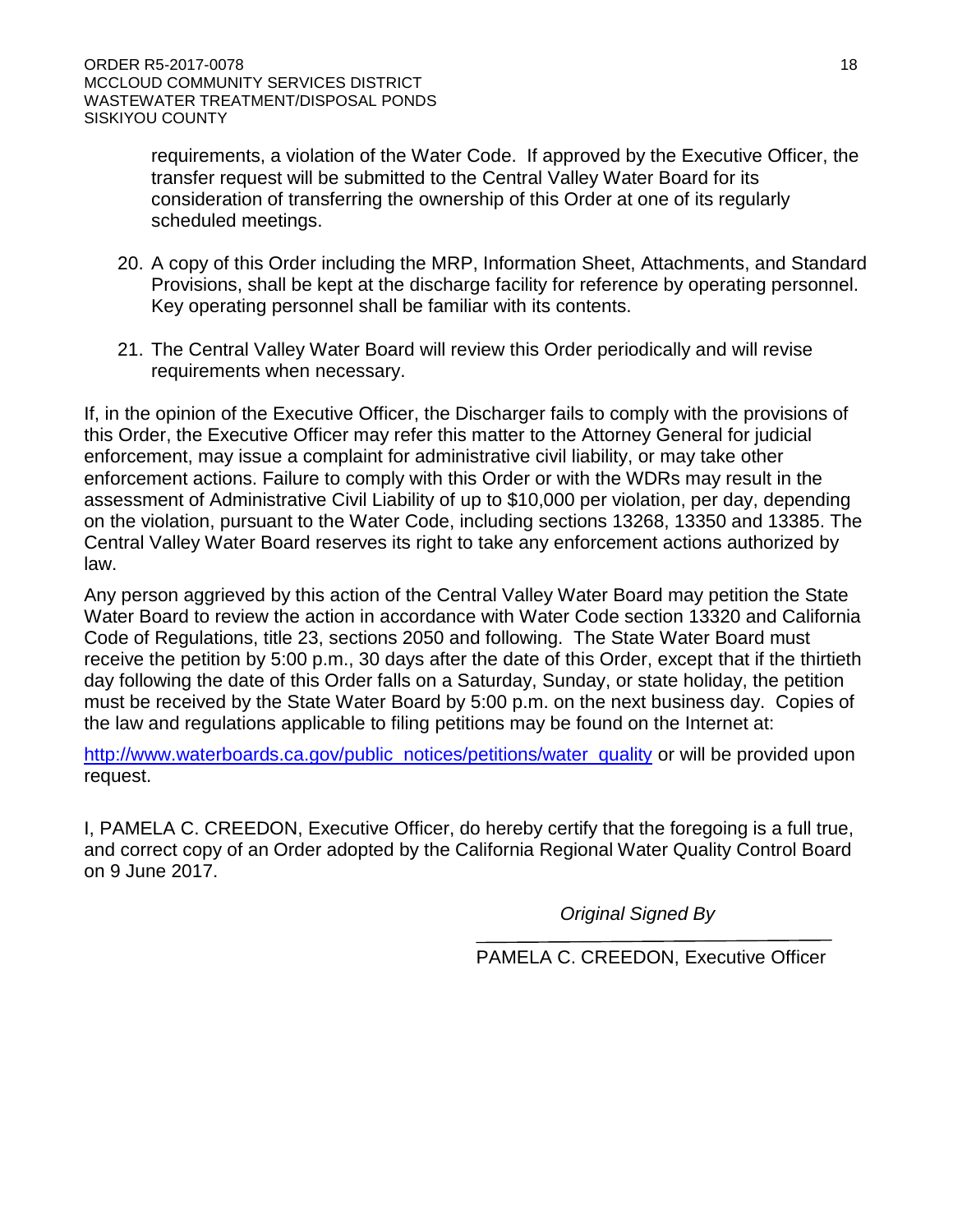- 15. The soil types encountered at the Facility included silt, fine to medium sand, and silty to sandy gravel. These soils are underlain by volcanic (andesitic) bedrock from approximately 12 to 18 feet below ground surface (bgs). A grading analysis run on soils collected from the bottom of Pond 2 classified the soil as fine silty sand. A typical permeability value for fine silty sand is  $3 \times 10^{-5}$  centimeter/second.
- 16. Annual Precipitation in the area is approximately 50 inches with an annual pan evaporation of approximately 55 inches.
- 17. In the immediate vicinity of the Facility, land uses consist of timberland production, open space, rural residential, and commercial (golf course).

### **Groundwater Conditions**

- 18. Generally, the volcanic units in this area have variable groundwater yields, with production zones at a depth of approximately 200 feet bgs. The Facility is located within the Squaw Creek Hydrologic Area (505.10) that lies within the McCloud Hydrologic Unit (505.00) which is part of the Sacramento Hydrologic Basin as delineated by the California Department of Water Resources (DWR). The Facility lies to the north of the Redding Basin, the northernmost sub basin of the Sacramento Valley basin.
- 19. In response to CDO 93-248 the Discharger conducted various investigations in support of required corrective actions. From these investigations it was determined that the upper surface of volcanic bedrock underlying the Facility is unsaturated and serves as an aquitard in some locations, but as a conduit in other locations. Groundwater was absent in several test borings, drilled to less than two feet bgs below Pond 2 before encountering bedrock.
- 20. In 1979, a dye study was performed by Central Valley Water Board staff from the wastewater ponds and indicated no observed impacts in the nearby Squaw Valley Creek or other areas of known/suspected groundwater surfacing/discharge. Additionally coliform analysis of samples taken from Squaw Valley Creek were collected above and below the ponds also indicated no observed impacts from the wastewater ponds.
- 21. According to DWR information, data gathered from 19 domestic well logs in the area, indicate an average total depth of wells to be approximately 120 feet bgs, with an average depth to static water of 34 feet bgs. Information also obtained from DWR indicated well yields ranged from 10 to 100 gallons per minute (gpm). The distance from the ponds to the closest water supply well(s) is unknown; however there are no wells within a half mile downgradient of the ponds, as this property is owned by the Discharger.
- 22. Four monitoring wells were installed in February 2016 in response to the Central Valley Water Board's request for a new RWD. Groundwater gradient is to the south-southwest, generally following surface topography. Depth to groundwater in onsite monitoring wells ranged from approximately 2 to 5 feet bgs.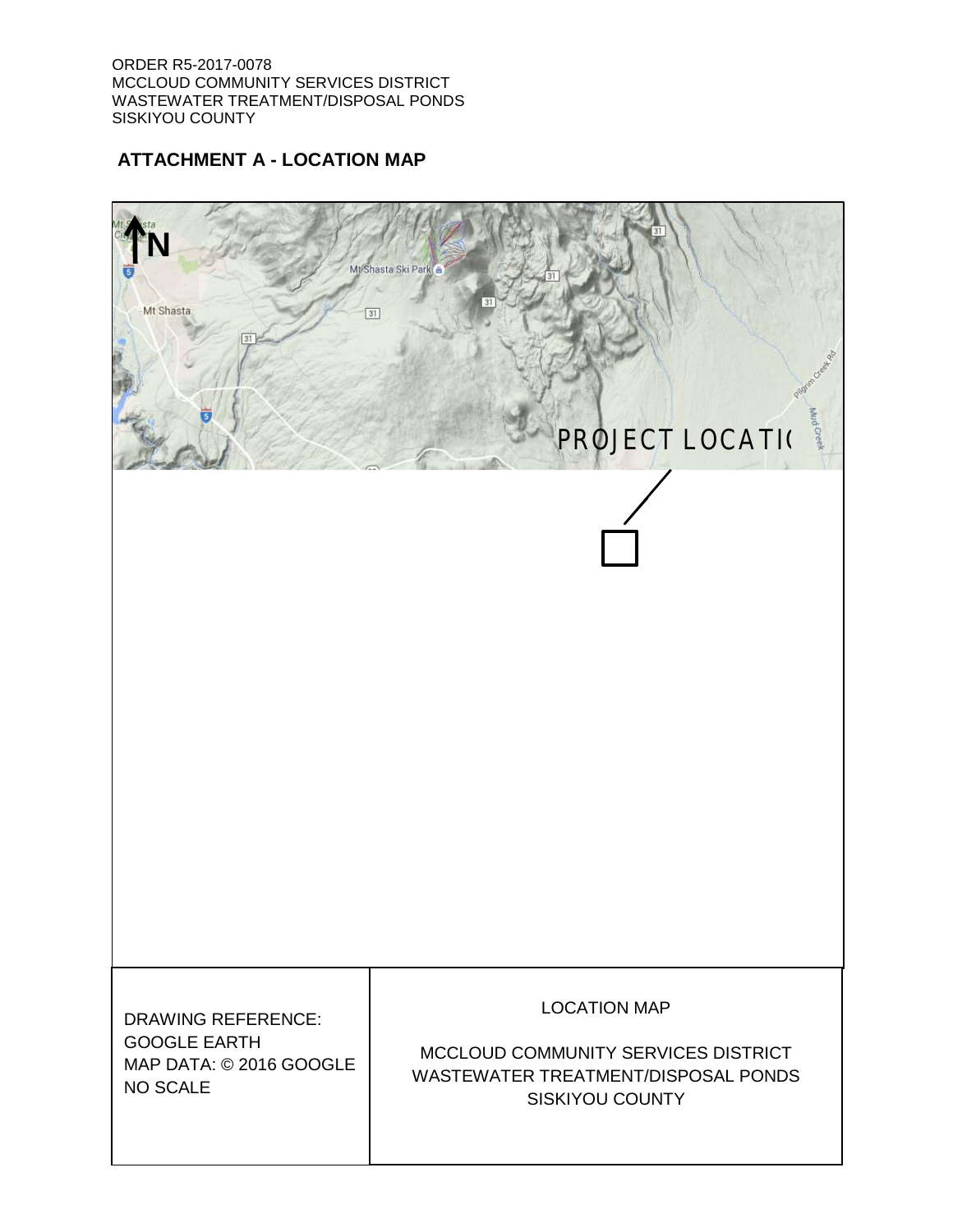- 23. Shallow groundwater beneath the site is likely seasonal or precipitation dependent. Groundwater levels in onsite monitoring wells declined approximately 2.8 to 3.3 feet between March and May 2016 monitoring events.
- 24. Based on onsite monitoring wells, shallow groundwater quality is good. None of the measured parameters exceeded their respective maximum contaminant levels (MCLs). Effluent quality is poorer than the shallow groundwater, but also did not exceed MCLs for the measured parameters in the March 2016 sampling event.
- 25. Percolating effluent moves into fractured bedrock underlying the ponds and migrates into underlying strata. The exact quality of the effluent that moves through fractured bedrock is unknown, but it is reasonable to assume that it is of similar quality to that observed in the Facility's shallow groundwater monitoring wells, which meets Water Quality Objectives (WQOs) for the constitutions of concern. Thus, the discharge (pond percolation) does not appear to adversely affect groundwater quality, nor should it cause WQOs to be exceeded.

### **Basin Plan, Beneficial Uses, and Regulatory Considerations**

- 26. The *Water Quality Control Plan for the Sacramento River and San Joaquin River Basins,*  Fourth Edition, revised July 2016 (hereafter Basin Plan) designates beneficial uses, establishes WQOs, contains implementation plans and policies for protecting waters of the basin, and incorporates by reference plans and policies adopted by the State Water Board. Pursuant to California Water Code section13263(a), waste discharge requirements must implement the Basin Plan.
- 27. Local drainage is to Squaw Valley Creek a tributary of the McCloud River. The beneficial uses of the McCloud River, as stated in the Basin Plan, are Municipal and Domestic Supply (MUN), Hydropower Generation (POW), Water Contact Recreation (REC-1) and Non-contact Water Recreation (REC-2); including canoeing and rafting, Cold Freshwater Habitat (COLD), Spawning, Reproduction, and/or Early Development (SPWN), Wildlife Habitat (WILD) and other aquatic resources.
- 28. The beneficial uses of underlying groundwater as set forth in the Basin Plan are Industrial Process, Municipal and Domestic Supply (MUN), Agricultural Supply (AGR), Industrial Service Supply (IND), Industrial Process Supply (PRO).
- 29. The Basin Plan establishes narrative WQOs for chemical constituents, tastes and odors, and toxicity in groundwater. It also sets forth a numeric objective for total coliform organisms.
- 30. The Basin Plan's numeric water quality objective for bacteria requires that the most probable number (MPN) of coliform organisms over any seven-day period shall be less than 2.2 per 100 mL in MUN groundwater.
- 31. The Basin Plan's narrative WQOs for chemical constituents, at a minimum, require waters designated as domestic or municipal supply to meet the MCLs specified in Title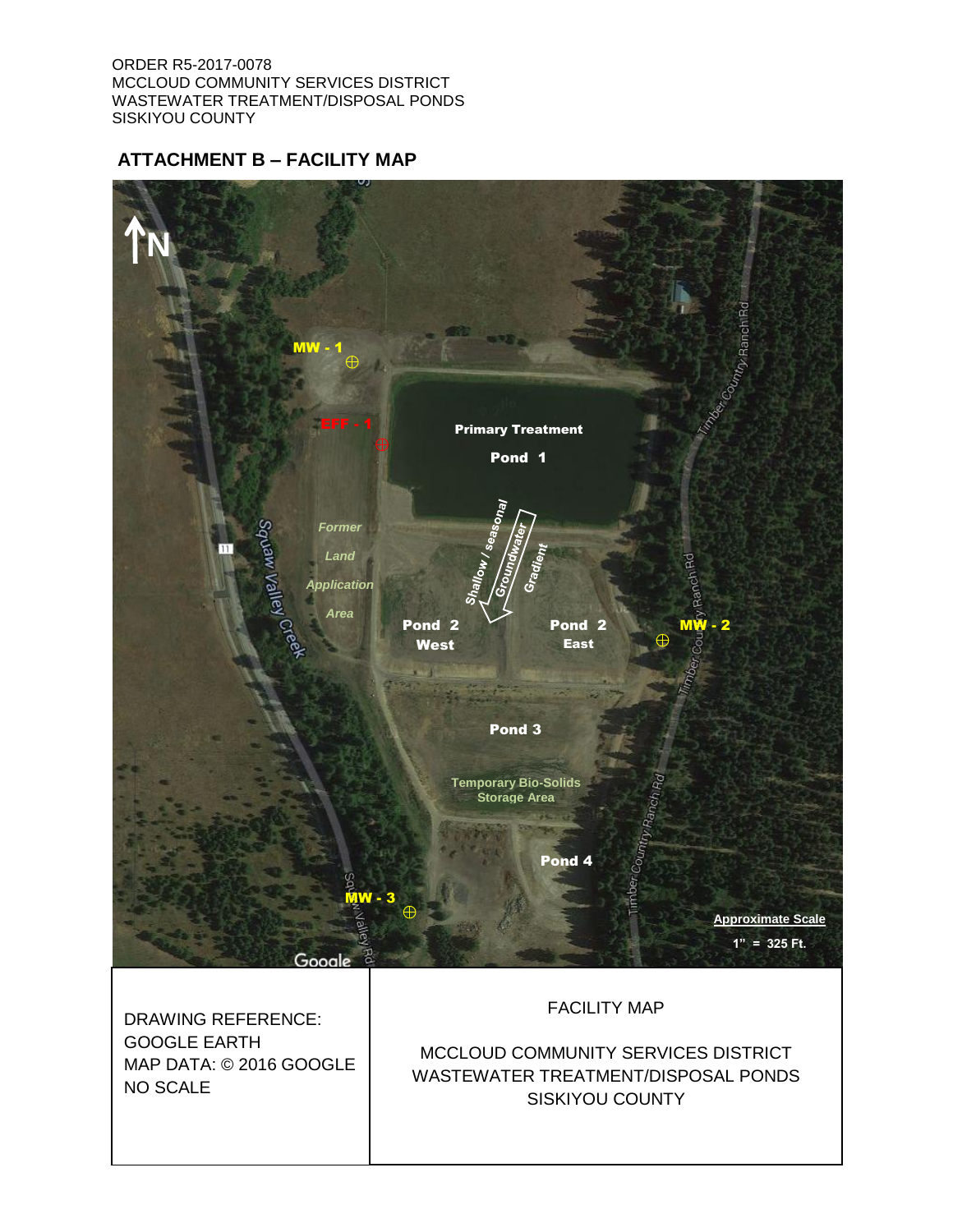22 of the California Code of Regulations (hereafter Title 22). The Basin Plan recognizes that the Central Valley Water Board may apply limits more stringent than MCLs to ensure that waters do not contain chemical constituents in concentrations that adversely affect beneficial uses.

- 32. The narrative toxicity objective requires that groundwater be maintained free of toxic substances in concentrations that produce detrimental physiological responses in human, animal, plant, or aquatic life associated with designated beneficial uses.
- 33. Quantifying a narrative water quality objective requires a site-specific evaluation of those constituents that have the potential to impact water quality and beneficial uses. The Basin Plan states that when compliance with a narrative objective is required to protect specific beneficial uses, the Central Valley Water Board will, on a case-by-case basis, adopt numerical limitations in order to implement the narrative objective.
- 34. In the absence of specific numerical water quality limits, the Basin Plan methodology is to consider any relevant published criteria. General salt tolerance guidelines, such as *Water Quality for Agriculture* by Ayers and Westcot and similar references indicate that yield reductions in nearly all crops are not evident when irrigation water has an EC less than 700 μmhos/cm. There is, however, an eight- to ten-fold range in salt tolerance for agricultural crops and the appropriate salinity values to protect agriculture in the Central Valley are considered on a case-by-case basis. It is possible to achieve full yield potential with waters having EC up to 3,000 μmhos/cm if the proper leaching fraction is provided to maintain soil salinity within the tolerance of the crop.

### **Antidegradation Analysis**

- 35. State Water Resources Control Board Resolution 68-16, the Statement of Policy with Respect to Maintaining High Quality of Waters in California (*Antidegradation Policy*) generally prohibits the Central Valley Water Board from authorizing activities that will result in the degradation of high-quality waters unless it has been shown that:
	- a. The degradation does not result in water quality less than that prescribed in state and regional policies, including violation of one or more WQOs;
	- b. The degradation will not unreasonably affect present and anticipated future beneficial uses;
	- c. The discharger employs Best Practicable Treatment or Control (BPTC) to minimize degradation; and
	- d. The degradation is consistent with the maximum benefit to the people of the state.
- 36. Prior to 2016 the Discharger was not required to monitor groundwater quality at the Facility. Although current data is limited to two sampling events, shallow groundwater shows limited degradation (which may or may not have been caused by the operation of the WWTP), but no exceedances of an applicable WQO. Shallow groundwater is likely only present seasonally or after significant precipitation events. As discussed previously,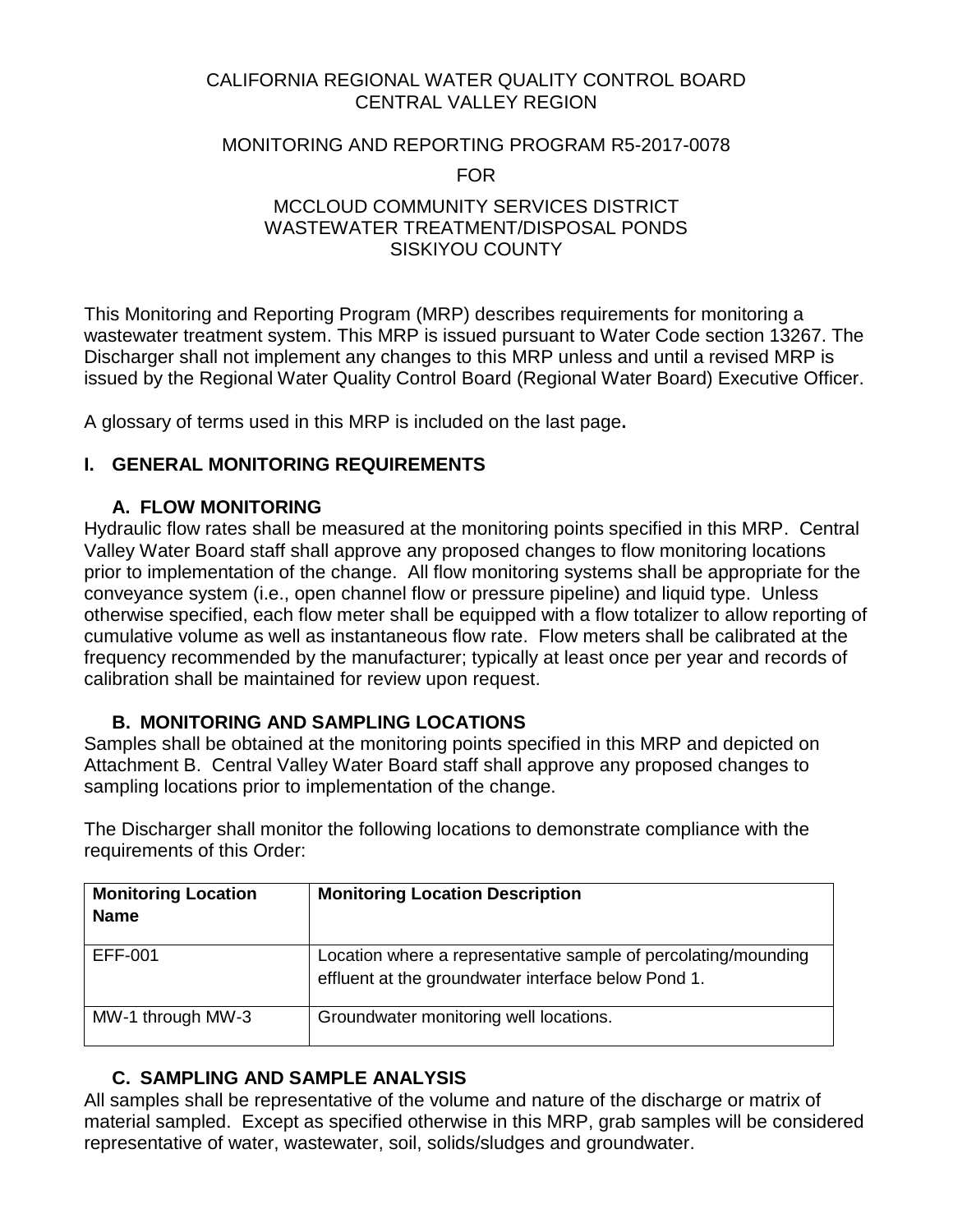local groundwater supplies are derived from fractured volcanic bedrock – wells are typically screened to 120 feet bgs with a static water level of 34 feet.

37. Constituents of concern that have the potential to degrade groundwater include salts (primarily TDS, sodium, and chloride), nutrients and coliform organisms, as discussed below.

|                     | <b>Concentration (mg/L)</b>      |                       |                                               |                                          |                                                    |
|---------------------|----------------------------------|-----------------------|-----------------------------------------------|------------------------------------------|----------------------------------------------------|
| <b>Constituent</b>  | <b>Influent</b><br>(Pond sample) | Effluent <sup>1</sup> | <b>Background</b><br>Groundwater <sup>2</sup> | Downgradient<br>Groundwater <sup>3</sup> | <b>Potential Water</b><br><b>Quality Objective</b> |
| <b>TDS</b>          | 320                              | 110                   | 55                                            | 47                                       | 450 <sup>4</sup> to 1,500 <sup>8</sup>             |
| Nitrate (N)         | < 0.02                           | < 0.02                | 0.1                                           | 0.73                                     | 10 <sup>6</sup>                                    |
| Ammonia<br>Nitrogen | 16                               | ΝA                    | 0.056                                         | 0.028                                    | --                                                 |
| Sulfate             | 5.8                              | 0.54                  | 1.6                                           | 0.91                                     | $250^7$                                            |
| Sodium              | 24                               | 13                    | 12                                            | 4.9                                      | 69 <sup>4</sup>                                    |
| Chloride            | 16                               | 8.35                  | 3.2                                           | 0.90                                     | $106^{4} - 600^{8}$                                |
| Manganese           | <b>NA</b>                        | 0.316                 | <b>NA</b>                                     | ΝA                                       | 0.050 <sup>7</sup>                                 |
| Iron                | <b>NA</b>                        | 12.9                  | <b>NA</b>                                     | ΝA                                       | $0.300^{7}$                                        |
| Arsenic             | ΝA                               | 0.001                 | ΝA                                            | ΝA                                       | $0.010$ $^6$                                       |

MA denotes Not Analyzed, J - Below reporting limits, estimated value

**1** EFF- 1, placed in berm of Pond 1, sampled 5/26/16

**<sup>2</sup>** MW-1, upgradient well, sampled 3/16/16

**<sup>3</sup>**MW-3, downgradient well, sampled 3/16/16

<sup>6</sup> Primary Maximum Contaminant Level.

<sup>7</sup> Secondary Maximum Contaminant Level.<br><sup>8</sup> Secondary Maximum Contaminant Level range

4 Lowest agricultural water quality goal.

- a. **Total Dissolved Solids.** The influent TDS concentration is approximately 320 mg/L, which is low for a typical domestic wastewater treatment facility and appears to drop to 110 mg/L after percolating through the vadose zone below the pond as indicated by Effluent sample above. This appears to indicate that the Discharger's current treatment practices are effective. The background groundwater concentration is 55 mg/L and downgradient concentration is 47 mg/L. Therefore, the discharge is not likely to degrade groundwater quality due to increased salinity and a TDS effluent limit is not required to protect groundwater quality.
- **b. Nitrate**. For nutrients such as nitrate, the potential for degradation depends not only on the quality of the treated effluent, but the ability of the vadose zone below the effluent disposal ponds to provide an environment conducive to nitrification and denitrification to convert the effluent nitrogen to nitrate and the nitrate to nitrogen gas before it reaches the water table. The effluent nitrate concentration was reported to be less than the laboratory reporting limit of 0.02 mg/L and the background concentration was reported at 0.1 mg/L. Downgradient nitrate concentrations were reported at 0.73 mg/L. The nitrate effluent quality of the existing WWTP is expected to remain the same. Therefore, the discharge is not likely to degrade groundwater quality due to increased nitrate and a nitrate effluent limit is not required to protect groundwater quality.
- c. **Total Coliform Organisms.** For coliform organisms, the potential for exceedance of the Basin Plan's numeric water quality objective depends on the ability of vadose zone soils below the effluent storage/disposal ponds and saturated soils within the shallow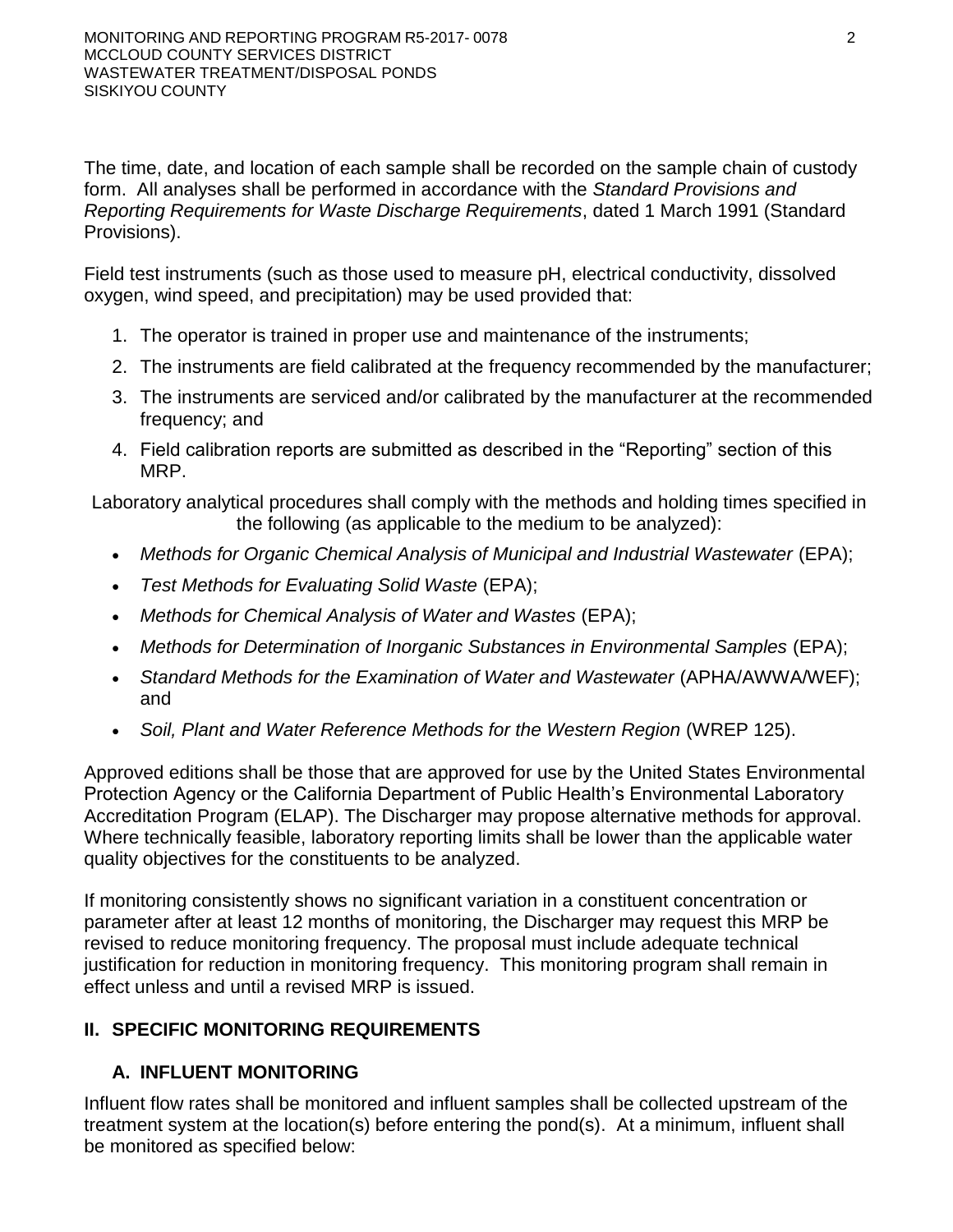water bearing zone to provide adequate filtration. Historically, total coliform organisms have not been sampled at the Facility. The approximate 2-10 foot unsaturated zone consisting of silt, fine to medium sand, and silty to sandy gravel below primary Ponds 1 and 2 West is expected to be sufficient to filter out coliform organisms and to prevent groundwater degradation.

- 38. This Order establishes effluent and groundwater limitations for the WWTP that will ensure that discharges from the WWTP will not unreasonably threaten present and anticipated beneficial uses or result in groundwater quality that exceeds WQOs set forth in the Basin Plan.
- 39. The Discharger provides treatment and control of the discharge that includes: Upgraded collection system (all lines replaced 2002-2006), flow, liquid depth, freeboard and DO management, control of pond scum, weeds, & floating solids; berm inspection and maintenance. Additionally fresh water is pumped/sprayed into pond for oxygenation, circulation, and to help break-up any accumulation floating materials. For this Facility, the Board considers these measures to be best practical treatment or control (BPTC) for the treatment and disposal of wastewater at this location.
- 40. Degradation of groundwater by some of the typical waste constituents associated with discharges from a municipal wastewater utility, after effective source control, treatment, and control measures are implemented, is consistent with the maximum benefit to the people of the state. The technology, energy, water recycling, and waste management advantages of municipal utility service far exceed any benefits derived from reliance on numerous, concentrated individual wastewater systems, and the impact on water quality will be substantially less.The economic prosperity of valley communities and associated industry is of maximum benefit to the people of the State, and provides sufficient justification for allowing the limited groundwater degradation that may occur pursuant to this Order.
- 41. This Order is consistent with the *Antidegradation Policy* since; (a) the limited degradation allowed by this Order will not result in water quality less than water quality objectives, or unreasonably affect present and anticipated beneficial uses, (b) the Discharger has implemented BPTC to minimize degradation, and (c) the limited degradation is of maximum benefit to people of the State.

### **Other Regulatory Considerations**

- 42. In compliance with Water Code section 106.3, it is the policy of the State of California that every human being has the right to safe, clean, affordable, and accessible water adequate for human consumption, cooking, and sanitary purposes. This order promotes that policy by requiring discharges to meet maximum contaminant levels designed to protect human health and ensure that water is safe for domestic use.
- 43. Based on the threat and complexity of the discharge, the facility is determined to be classified as 2C as defined below: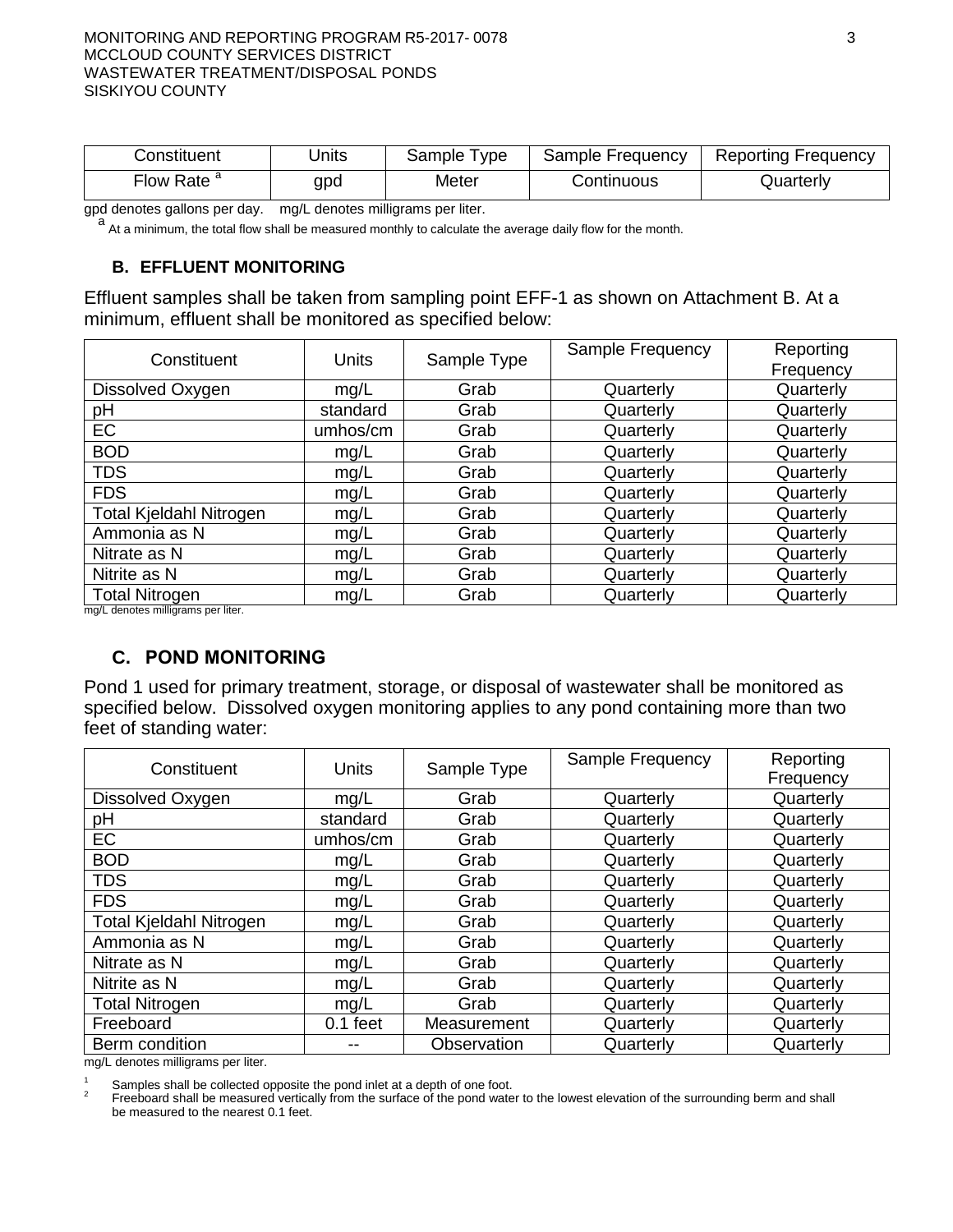- a. Category 2 threat to water quality: "Those discharges of waste that could impair the designated beneficial uses of the receiving water, cause short-term violations of WQOs, cause secondary drinking water standards to be violated, or cause a nuisance."
- b. Category C Any discharger for which waste discharge requirements have been prescribed pursuant to Section 13263 of the Water Code not included in Category A or Category B as described above. Included are dischargers having no waste treatment systems or that must comply with best management practices, dischargers having passive treatment and disposal systems, or dischargers having waste storage systems with land disposal**.**"
- 44. Title 27 of the California Code of Regulations (hereafter Title 27) contains regulatory requirements for the treatment, storage, processing, and disposal of solid waste. However, Title 27 exempts certain activities from its provisions. Discharges regulated by this Order are exempt from Title 27 pursuant to provisions that exempt domestic sewage, wastewater, and reuse. Title 27, section 20090 states in part:

The following activities shall be exempt from the SWRCB-promulgated provisions of this subdivision, so long as the activity meets, and continues to meet, all preconditions listed:

…

(b) Wastewater - Discharges of wastewater to land, including but not limited to evaporation ponds, percolation ponds, or subsurface leachfields if the following conditions are met:

- (1) the applicable RWQCB has issued WDRs, reclamation requirements, or waived such issuance;
- (2) the discharge is in compliance with the applicable water quality control plan; and
- (3) the wastewater does not need to be managed according to Chapter 11, Division 4.5, Title 22 of this code as a hazardous waste.
- 45. The discharge authorized herein (except for the discharge of residual sludge and solid waste), and the treatment and storage facilities associated with the discharge, are exempt from the requirements of Title 27 as follows:
	- a. Ponds 1, 2, 3, and 4 are exempt pursuant to Title 27, section 20090(b) because they are wastewater percolation ponds and:
		- i. The Central Valley Water Board is issuing WDRs.
		- ii. The discharge is in compliance with the Basin Plan, and;
		- iii. The treated effluent discharged to the ponds does not need to be managed as hazardous waste.
- 46. The U.S. EPA published *Statistical Analysis of Groundwater Monitoring Data at RCRA Facilities, Unified Guidance* (hereafter "Unified Guidance") in 2009. As stated in the Unified Guidance, the document:

…is tailored to the context of the RCRA groundwater monitoring regulations …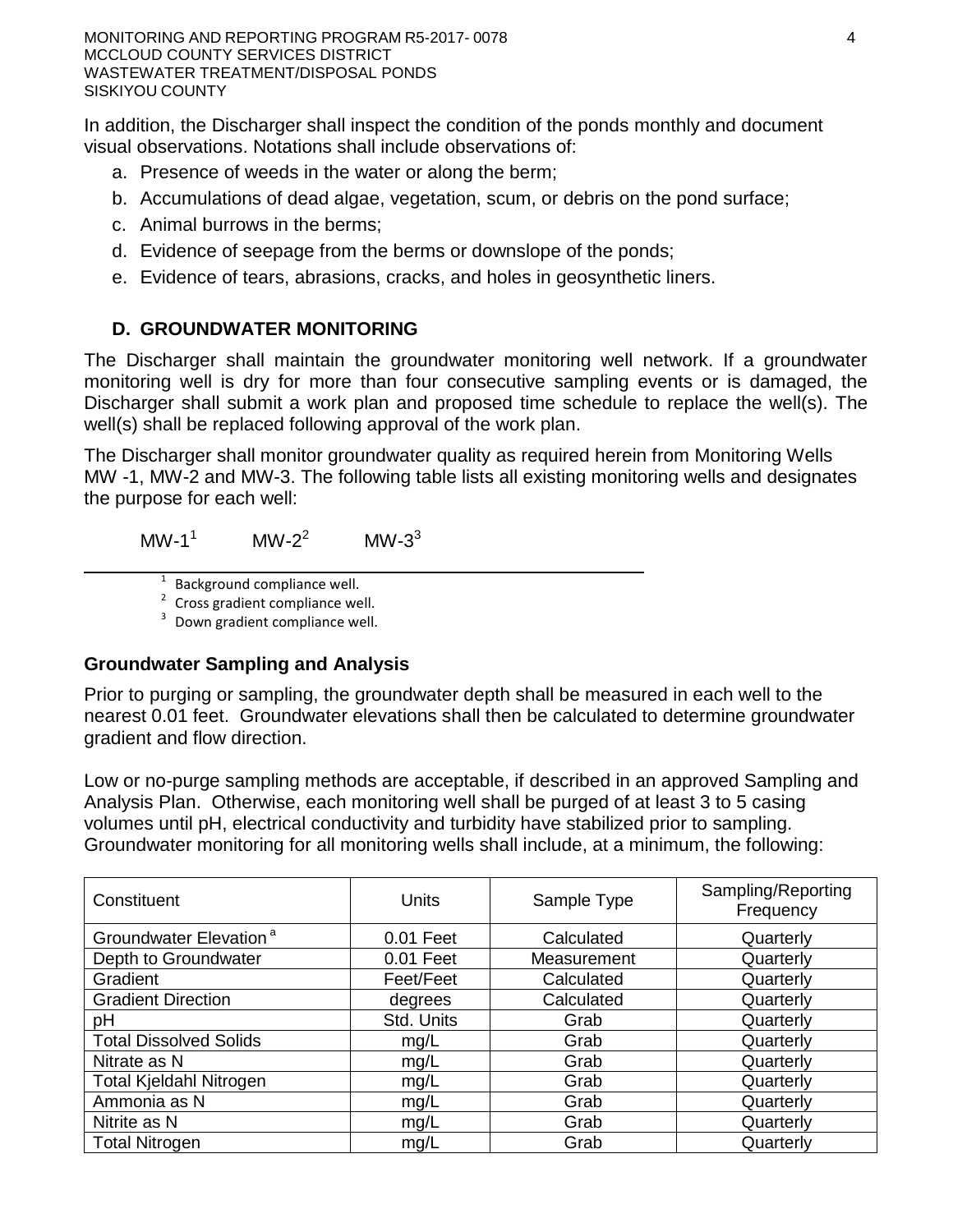[however, t]here are enough commonalities with other regulatory groundwater monitoring programs … to allow for more general use of the tests and methods in the Unified Guidance… Groundwater detection monitoring involves either a comparison between different monitoring stations … or a contrast between past and present data within a given station… The Unified Guidance also details methods to compare background data against measurements from regulatory compliance points … [as well as] techniques for comparing datasets against fixed numerical standards ... [such as those] encountered in many regulatory programs.

The statistical data analysis methods in the Unified Guidance are appropriate for determining whether the discharge complies with Groundwater Limitations of this Order.

- 47. The State Water Board adopted Order 2014-0057-DWQ (NPDES General Permit CAS000001) specifying waste discharge requirements for discharges of storm water associated with industrial activities, and requiring submittal of a Notice of Intent by all affected industrial dischargers. The wastewater treatment facility has a design capacity of 0.30 MGD. The Discharger is therefore not required to obtain coverage under NPDES General Permit CAS000001.
- 48. On 2 May 2006, the State Water Board adopted Statewide General Waste Discharge Requirements for Sanitary Sewer Systems General Order 2006-0003-DWQ (the General Order). The General Order requires all public agencies that own or operate sanitary sewer systems greater than one mile in length to comply with the Order. The Discharger's collection system exceeds one mile in length and the Discharger is enrolled under the General Order.
- 49. Water Code section 13267(b) states:

In conducting an investigation specified in subdivision (a), the regional board may require that any person who has discharged, discharges, or is suspected of discharging, or who proposes to discharge within its region … shall furnish, under penalty of perjury, technical or monitoring program reports which the board requires. The burden, including costs of these reports, shall bear a reasonable relationship to the need for the reports and the benefits to be obtained from the reports. In requiring those reports, the regional board shall provide the person with a written explanation with regard to the need for the reports, and shall identify the evidence that supports requiring that person to provide the reports.

The technical reports required by this Order and the attached Monitoring and Reporting Program (MRP) R5-2017-0078 are necessary to ensure compliance with these waste discharge requirements. The Discharger owns and operates the facility that discharges the waste subject to this Order.

50. The California Department of Water Resources sets standards for the construction and destruction of groundwater wells (hereafter DWR Well Standards), as described in *California Well Standards Bulletin 74-90* (June 1991) and *Water Well Standards: State of California Bulletin 94-81* (December 1981). These standards, and any more stringent standards adopted by the state or county pursuant to Water Code section 13801, apply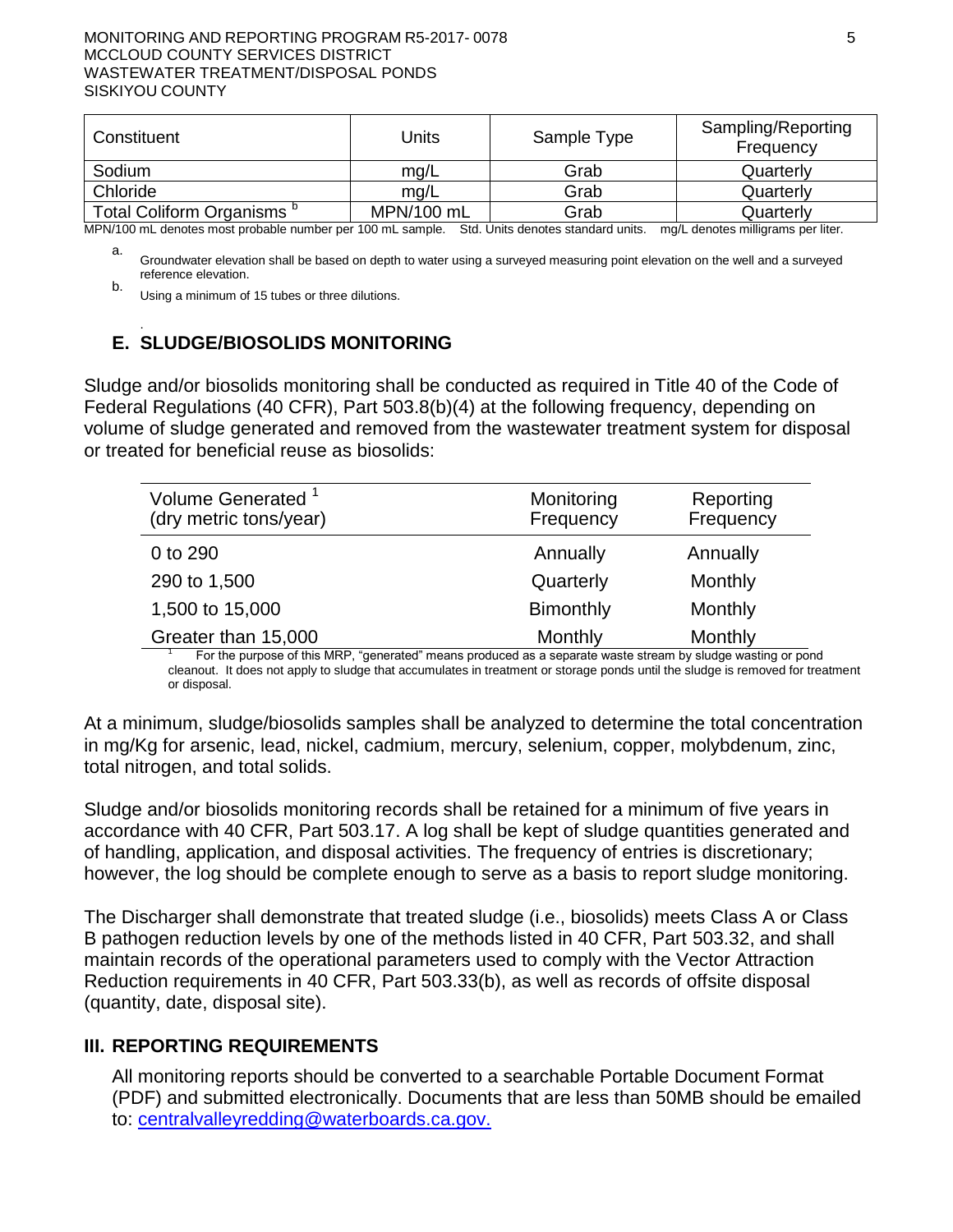to all monitoring wells used to monitor the impacts of wastewater storage or disposal governed by this Order.

- 51. All wastewater management systems at the facility have already been installed and are currently in use. This Order places additional requirements on the continued operation of the facility in order to ensure the protection of waters of the state. The issuance of this Order is therefore exempt from the provisions of the California Environmental Quality Act (Pub. Resources Code, § 21000 et seq.) in accordance with California Code of Regulations, title 14, section 15301, which exempts the "operation, repair, maintenance, [and] permitting ... of existing public or private structures, facilities, mechanical equipment, or topographical features" from environmental review.
- 52. The United States Environmental Protection Agency (EPA) has promulgated biosolids reuse regulations in 40 CFR 503, *Standard for the Use or Disposal of Sewage Sludge,*  which establishes management criteria for protection of ground and surface waters, sets application rates for heavy metals, and establishes stabilization and disinfection criteria.
- 53. The Central Valley Water Board is using the Standards in 40 CFR 503 as guidelines in establishing this Order, but the Central Valley Water Board is not the implementing agency for 40 CFR 503 regulations. The Discharger may have separate and/or additional compliance, reporting, and permitting responsibilities to the EPA.
- 54. Pursuant to Water Code section 13263(g), discharge is a privilege, not a right, and adoption of this Order does not create a vested right to continue the discharge.

### **Public Notice**

- 55. All the above and the supplemental information and details in the attached Information Sheet, which is incorporated by reference herein, were considered in establishing the following conditions of discharge.
- 56. The Discharger(s) and interested agencies and persons have been notified of the Central Valley Water Board's intent to prescribe waste discharge requirements for this discharge, and they have been provided an opportunity to submit written comments and an opportunity for a public hearing.
- 57. All comments pertaining to the discharge were heard and considered in a public hearing.

**IT IS HEREBY ORDERED** that Order 97-083 is rescinded except for purposes of enforcement, and, pursuant to Water Code sections 13263 and 13267, the McCloud CSD, its agents, successors, and assigns, in order to meet the provisions contained in Division 7 of the Water Code and regulations adopted hereunder, shall comply with the following:

# **A. Discharge Prohibitions**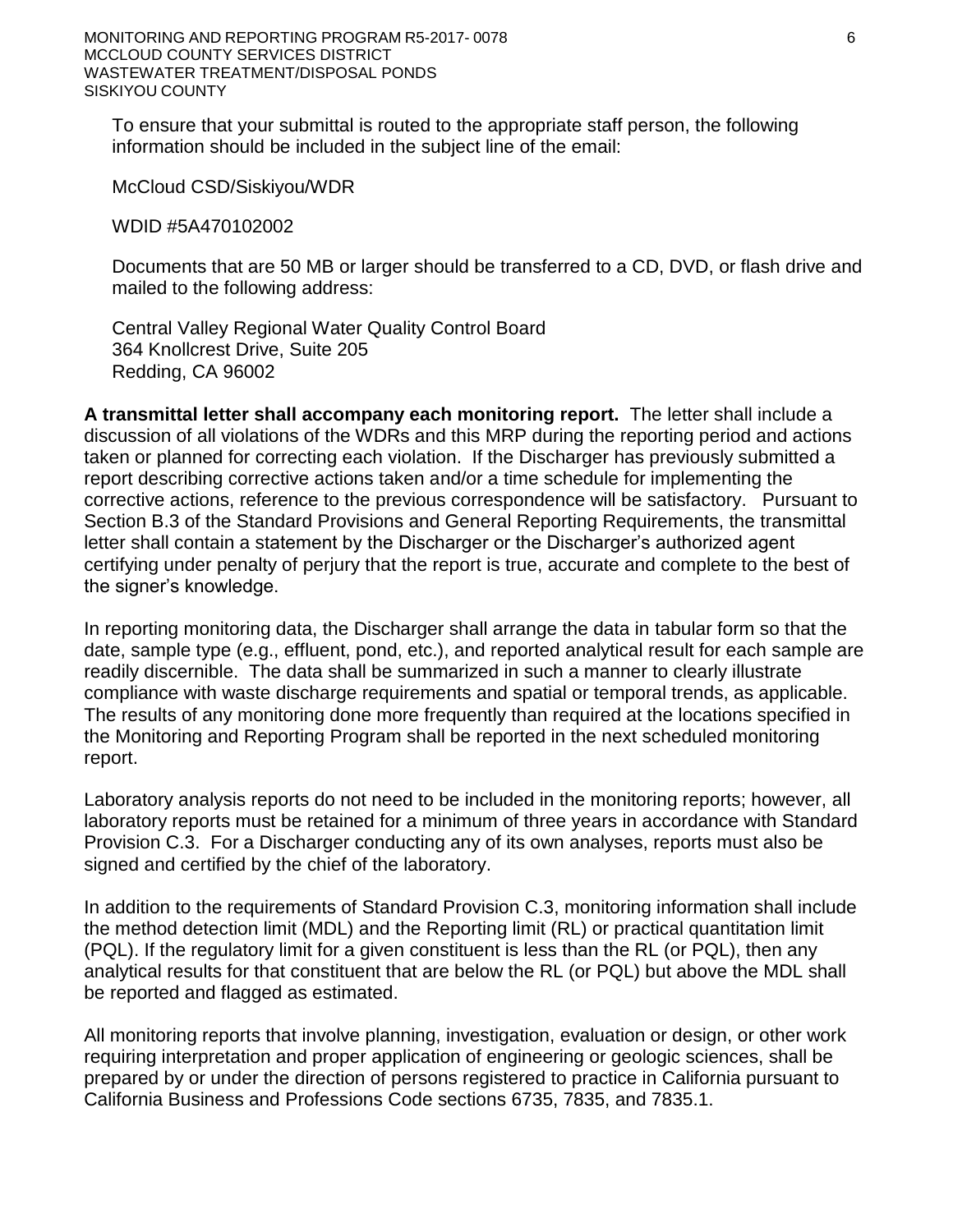- 1. Discharge of wastes to surface waters or surface water drainage courses is prohibited.
- 2. Discharge of waste classified as 'hazardous', as defined in the California Code of Regulations, title 22, section 66262.1 et seq., is prohibited.
- 3. Treatment system bypass of untreated or partially treated waste is prohibited, except as allowed by Standard Provision E.2 of the *Standard Provisions and Reporting Requirements for Waste Discharge Requirements*.
- 4. Discharge of waste at a location or in a manner different from that described in the Findings is prohibited.
- 5. The discharger shall not allow toxic substances to be discharged into the wastewater treatment system or land application areas such that biological treatment mechanisms are disrupted.
- 6. Discharge to the overland flow/land application area is prohibited unless approved by the Executive Officer.
- 7. The discharge of offsite waste transported to the WWTP for disposal is prohibited unless approved by the Executive Officer.

#### **B. Flow Limitations**

1. **Effectively immediately**, influent flows to the WWTP shall not exceed the following limits:

| <b>Flow Measurement</b>               | <b>Flow Limit</b> |
|---------------------------------------|-------------------|
| Total Annual Flow <sup>1</sup>        | 62 MG             |
| Average Dry Weather Flow <sup>2</sup> | 0.16 MGD          |
|                                       |                   |

1 As determined by the total flow for the calendar year.

2 As determined by the total flow for the months of August through October, inclusive, divided by 92 days.

### **C. Discharge Specifications**

- 1. No waste constituent shall be released, discharged, or placed where it will cause a violation of the Groundwater Limitations of this Order.
- 2. Wastewater treatment, storage, and disposal shall not cause pollution or a nuisance as defined by Water Code section 13050.
- 3. The discharge shall remain within the permitted waste treatment/containment structures and land application areas at all times.
- 4. The Discharger shall operate all systems and equipment to optimize the quality of the discharge.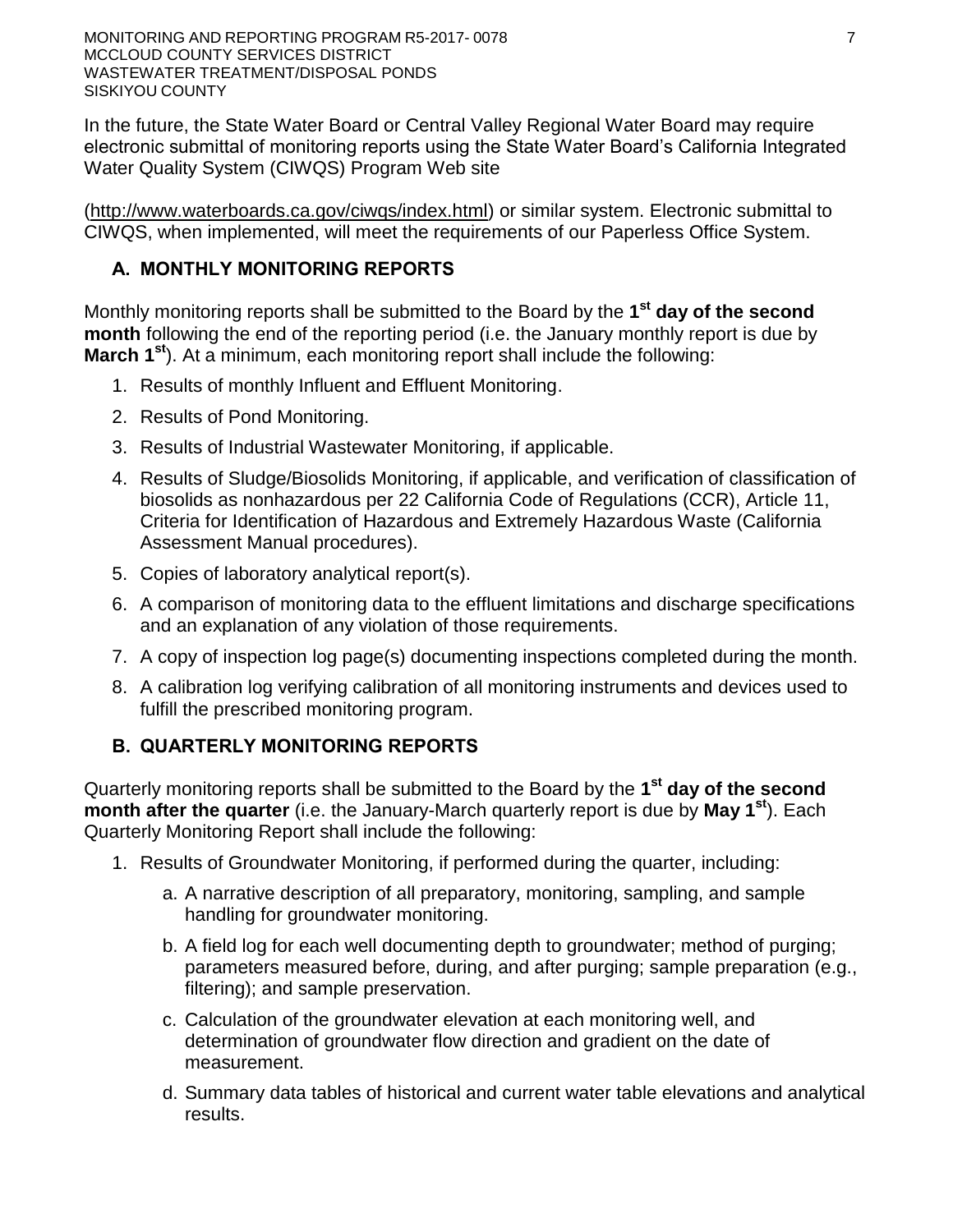- 5. All conveyance, treatment, storage, and disposal systems shall be designed, constructed, operated, and maintained to prevent inundation or washout due to floods with a 100-year return frequency.
- 6. Public contact with wastewater at the WWTP shall be prevented through such means as fences, signs, or acceptable alternatives.
- 7. Objectionable odors shall not be perceivable beyond the limits of the WWTP property at an intensity that creates or threatens to create nuisance conditions.
- 8. As a means of discerning compliance with Discharge Specification C. 7, the dissolved oxygen (DO) content in the upper one foot of any wastewater treatment or storage pond shall not be less than 1.0 mg/L for three consecutive sampling events. If the DO in any single pond is below 1.0 mg/L for three consecutive sampling events, the Discharger shall report the findings to the Regional Water Board in writing within 10 days and shall include a specific plan to resolve the low DO results within 30 days.
- 9. The Discharger shall operate and maintain all ponds sufficiently to protect the integrity of containment dams and berms and prevent overtopping and/or structural failure. Unless a California-registered civil engineer certifies (based on design, construction, and conditions of operation and maintenance) that less freeboard is adequate, the operating freeboard in any pond shall never be less than two feet (measured vertically from the lowest possible point of overflow). As a means of management and to discern compliance with this requirement, the Discharger shall install and maintain in each pond a permanent staff gauge with calibration marks that clearly show the water level at design capacity and enable determination of available operational freeboard.
- 10. Wastewater treatment, storage, and disposal ponds or structures shall have sufficient capacity to accommodate allowable wastewater flow, design seasonal precipitation, and ancillary inflow and infiltration during the winter while ensuring continuous compliance with all requirements of this Order. Design seasonal precipitation shall be based on total annual precipitation using a return period of 100 years, distributed monthly in accordance with historical rainfall patterns.
- 11. On or about **1 October** of each year, available capacity shall at least equal the volume necessary to comply with Discharge Specifications C.9 and C.10.
- 12. All ponds and open containment structures shall be managed to prevent breeding of mosquitoes. Specifically:
	- a. An erosion control program shall be implemented to ensure that small coves and irregularities are not created around the perimeter of the water surface.
	- b. Weeds shall be minimized through control of water depth, harvesting, or herbicides.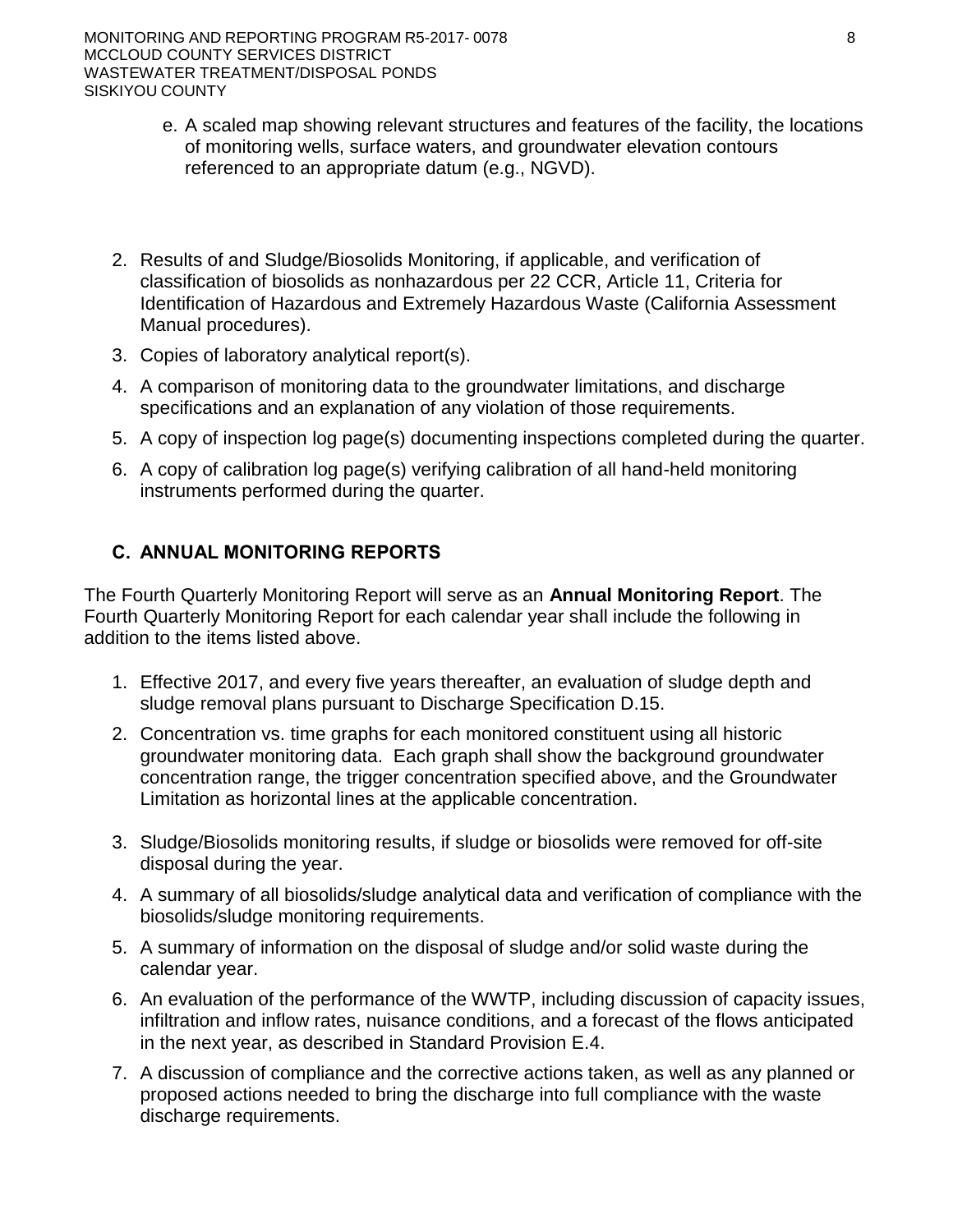- c. Dead algae, vegetation, and debris shall not accumulate on the water surface.
- d. The Discharger shall consult and coordinate with the local Mosquito Abatement District to minimize the potential for mosquito breeding as needed to supplement the above measures.
- e. Vegetation management operations in areas in which nesting birds have been observed shall be carried out either before or after, but not during, the bird nesting season, generally between months of April and June.
- 13. Newly constructed or rehabilitated berms or levees (excluding internal berms that separate ponds or control the flow of water within a pond) shall be designed and constructed under the supervision of a California Registered Civil Engineer.

### **D. Groundwater Limitations**

Release of waste constituents from any portion of the WWTP shall not cause groundwater to:

- 1. Exceed a total coliform organism level of 2.2 MPN/100mL over any seven-day period.
- 2. Contain constituents in concentrations that exceed either the Primary or Secondary MCLs established in Title 22 of the California Code of Regulations.
- 3. Contain taste or odor-producing constituents, toxic substances, or any other constituents in concentrations that cause nuisance or adversely affect beneficial uses.
- 4. Compliance with these limitations shall be determined annually based on comparison of groundwater concentrations to applicable WQOs.

#### **E. Solids Disposal Specifications**

Sludge, as used in this document, means the solid, semisolid, and liquid residues removed during primary, secondary, or advanced wastewater treatment processes. Solid waste refers to grit and screenings generated during preliminary treatment. Residual sludge means sludge that will not be subject to further treatment at the WWTP. Biosolids refers to sludge that has been treated and tested and shown to be capable of being beneficially used as a soil amendment for agriculture, silviculture, horticulture, and land reclamation activities pursuant to federal and state regulations.

- 1. Sludge and solid waste shall be removed from screens, sumps, ponds, and clarifiers as needed to ensure optimal plant operation.
- 2. Any handling and storage of residual sludge, solid waste, and biosolids at the WWTP shall be temporary (i.e., no longer than two years) and controlled and contained in a manner that minimizes leachate formation and precludes infiltration of waste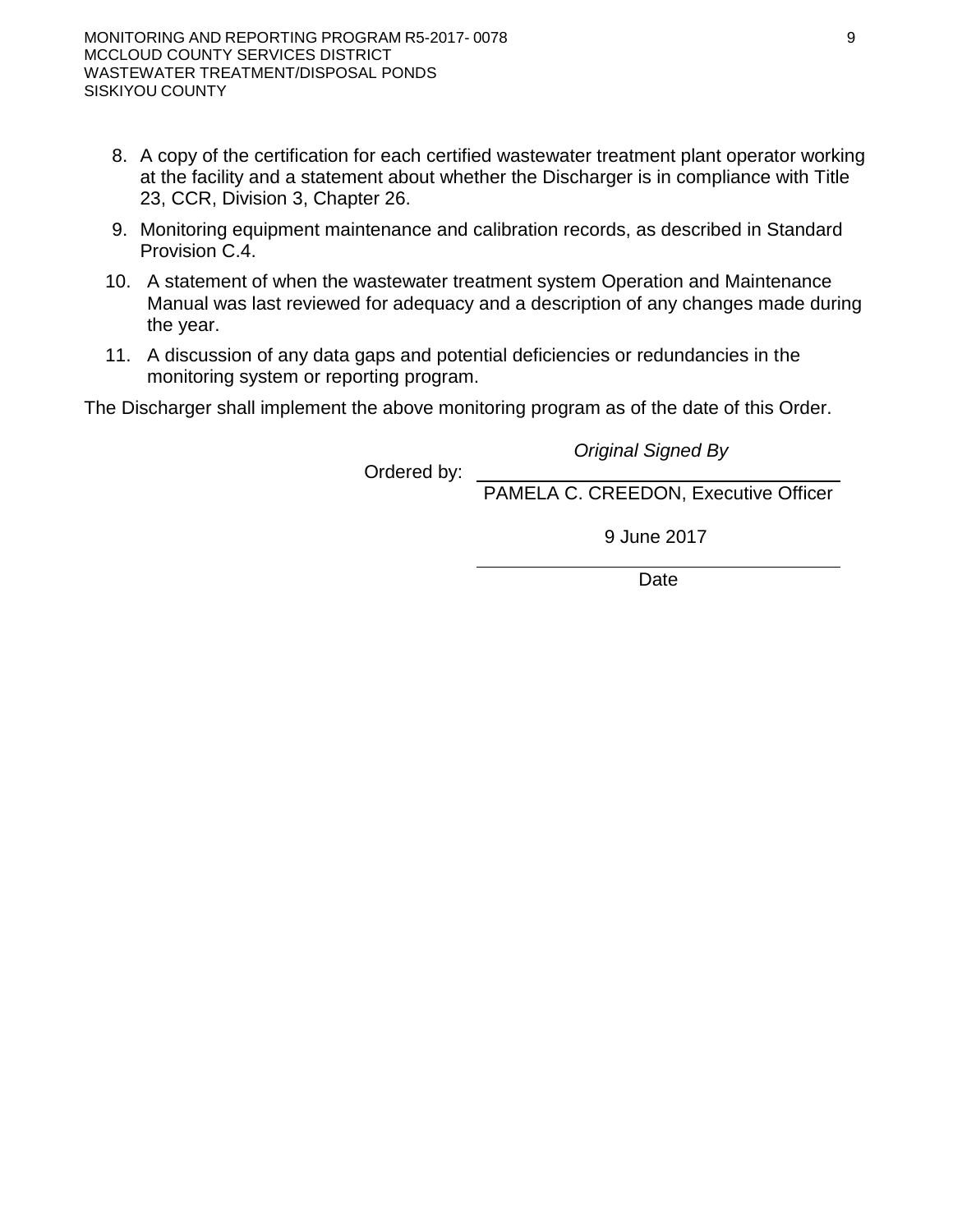constituents into soils in a mass or concentration that will violate the groundwater limitations of this Order.

- 3. Residual sludge, biosolids, and solid waste shall be disposed of in a manner approved by the Executive Officer and consistent with Title 27, division 2. Removal for further treatment, disposal, or reuse at disposal sites (i.e., landfills, WWTPs, composting sites, soil amendment sites) operated in accordance with valid waste discharge requirements issued by a Regional Water Board will satisfy this specification.
- 4. Use of biosolids as a soil amendment shall comply with valid waste discharge requirements issued by a regional water board or the State Water Board except in cases where a local (e.g., county) program has been authorized by a regional water board. In most cases, this will mean the General Biosolids Order (State Water Resources Control Board Water Quality Order 2004-12-DWQ, "General Waste Discharge Requirements for the Discharge of Biosolids to Land for Use as a Soil Amendment in Agricultural, Silvicultural, Horticultural, and Land Reclamation Activities"). For a biosolids use project to be covered by Order 2004-12-DWQ, the Discharger must file a complete Notice of Intent and receive a Notice of Applicability for each project.
- 5. Use and disposal of biosolids shall comply with the self-implementing federal regulations of 40 Code of Federal Regulations part 503, which are subject to enforcement by the U.S. EPA, not the Central Valley Water Board. If during the life of this Order, the State accepts primacy for implementation of part 503, the Central Valley Water Board may also initiate enforcement where appropriate.
- 6. Any proposed change in sludge use or disposal practice shall be reported in writing to the Executive Officer at least 90 days in advance of the change.

# **F. Provisions**

- 1. The following reports shall be submitted pursuant to Water Code section 13267 and shall be prepared as described in Provision Section F.5 of this order:
	- a. By **1 July 2019,** the Discharger shall submit a *Water Quality Assessment Report.* This report shall summarize and evaluate water quality data collected from the Facility.
		- 1) For each monitored constituent identified in the MRP the report shall present a summary of monitoring data and the calculated concentrations of each constituent from each sampling location.
		- 2) Effluent monitoring data shall be evaluated to assess whether effluent wastewater concentrations are such that underlying groundwater could be impacted.
		- 3) The report shall also assess background groundwater quality which includes a determination of which wells are the background monitoring well(s) and which well(s) are compliance monitoring point's downgradient of the discharge.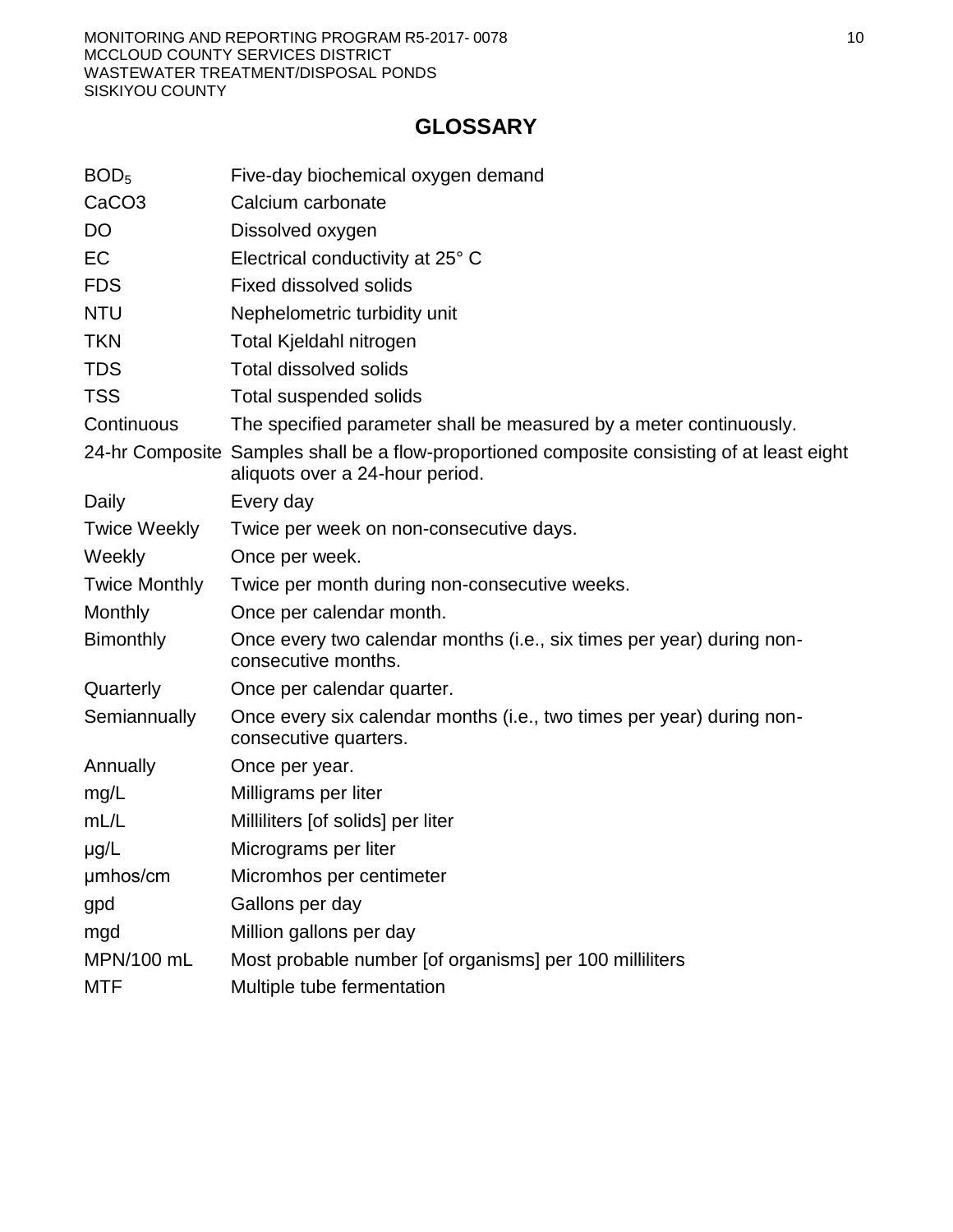- 4) The report will also provide any recommendations that may be necessary to address any data gaps in the current monitoring program.
- b. By **1 September 2017,** the Discharger shall submit a *Bio-Solids Handling and Disposal Plan.* This plan shall address reuse or disposal of current bio-solids stored at the facility by 1 January 2018. The plan shall include a detailed outline for sludge removal, drying, and disposal. The plan shall specifically describe the phasing of the project, measures to be used to control runoff or percolate from the sludge as it is drying, and a schedule that shows how all dried biosolids will be removed from the Facility prior to the onset of the rainy season **(1 October)**. It will also outline future handling/ treatment of bio-solids at the facility that will comply with section E.2 of this order that specifies no more than 2 years of storage of any bio-solids/sludge removed from the ponds. Additionally the Discharger will also be required to provide written notification at least **180 days** prior to any new sludge removal and disposal as specified in Provision F.3.
- c. By **1 September 2017,** the Discharger shall submit an *Overland Flow/Land Application Area Decommissioning Report.* This report shall address activities completed to disconnect infrastructure that allowed wastewater to be diverted from the pond(s) to the former Overland Flow/Land Application Area.
- 2. If groundwater monitoring results show that the discharge of waste is causing groundwater to contain any waste constituents in concentrations statistically greater than the Groundwater Limitations of this Order, within 120 days of the request of the Executive Officer, the Discharger shall submit a BPTC Evaluation Workplan that sets forth the scope and schedule for a systematic and comprehensive technical evaluation of each component of the facility's waste treatment and disposal system to determine BPTC for each waste constituent that exceeds a groundwater limitation. The workplan shall contain a preliminary evaluation of each component of the WWTP and effluent disposal system and propose a time schedule for completing the comprehensive technical evaluation. The schedule to complete the evaluation shall be as short as practicable, and shall not exceed one year after receipt of the above workplan.
- 3. At least **180 days** prior to any sludge removal and disposal, the Discharger shall submit a *Sludge Cleanout Plan*. The plan shall include a detailed plan for sludge removal, drying, and disposal. The plan shall specifically describe the phasing of the project, measures to be used to control runoff or percolate from the sludge as it is drying, and a schedule that shows how all dried biosolids will be removed from the site prior to the onset of the rainy season **(1 October)**.
- 4. A discharger whose waste flow has been increasing, or is projected to increase, shall estimate when flows will reach hydraulic and treatment capacities of its treatment, collection, and disposal facilities. The projections shall be made in January, based on the last three years' average dry weather flows, peak wet weather flows and total annual flows, as appropriate. When any projection shows that capacity of any part of the facilities may be exceeded in four years, the discharger shall notify the Central Valley Water Board by **31 January**.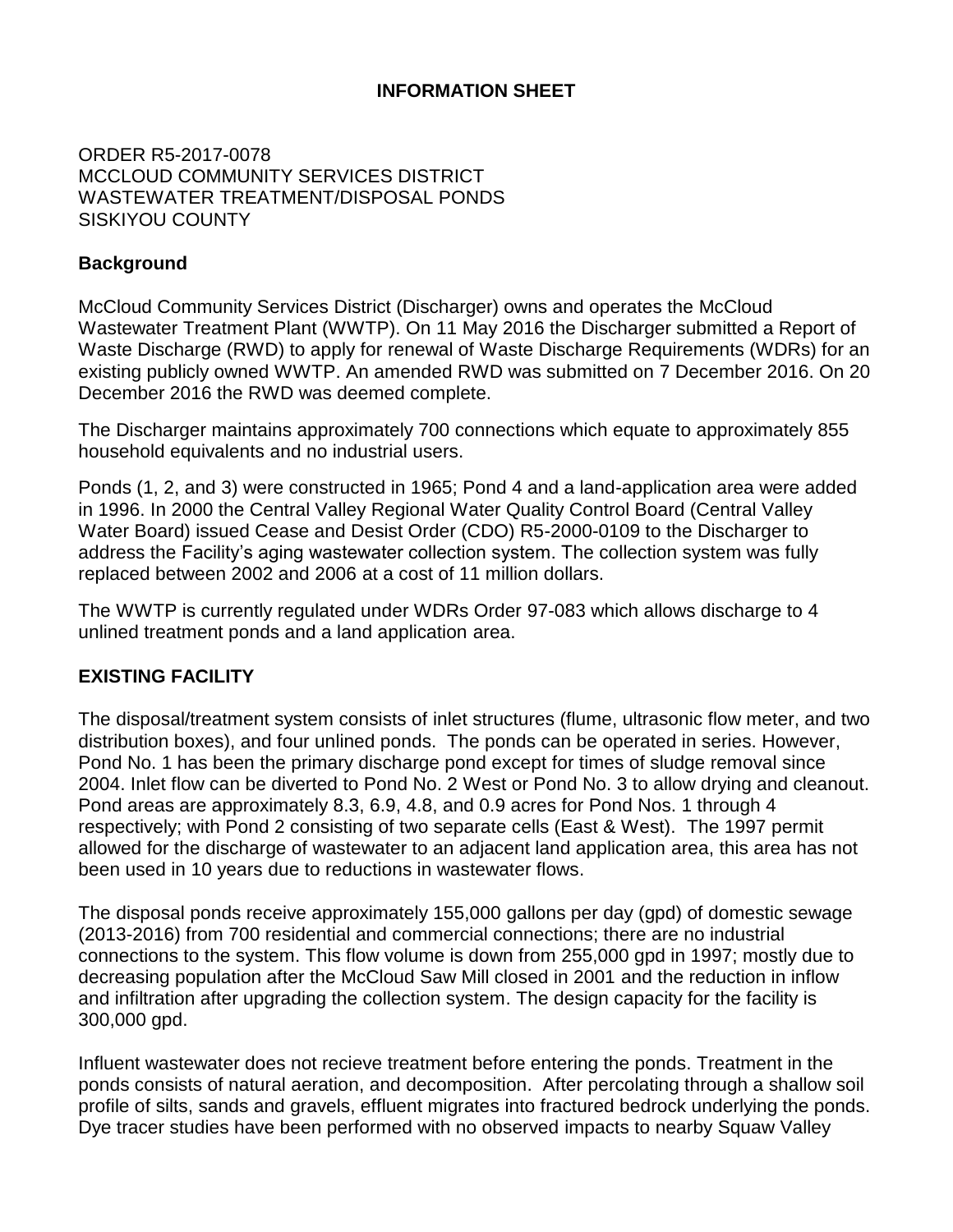- 5. In accordance with California Business and Professions Code sections 6735, 7835, and 7835.1, engineering and geologic evaluations and judgments shall be performed by or under the direction of registered professionals competent and proficient in the fields pertinent to the required activities. All technical reports specified herein that contain workplans for investigations and studies, that describe the conduct of investigations and studies, or that contain technical conclusions and recommendations concerning engineering and geology shall be prepared by or under the direction of appropriately qualified professional(s), even if not explicitly stated. Each technical report submitted by the Discharger shall bear the professional's signature and stamp.
- 6. The Discharger shall submit the technical reports and work plans required by this Order for consideration by the Executive Officer, and incorporate comments the Executive Officer may have in a timely manner, as appropriate. Unless expressly stated otherwise in this Order, the Discharger shall proceed with all work required by the foregoing provisions by the due dates specified.
- 7. The Discharger shall comply with MRP R5-2017-0078, which is part of this Order, and any revisions thereto as ordered by the Executive Officer. The submittal dates of Discharger self-monitoring reports shall be no later than the submittal date specified in the MRP.
- 8. The Discharger shall comply with the "Standard Provisions and Reporting Requirements for Waste Discharge Requirements", dated 1 March 1991, which are attached hereto and made part of this Order by reference. This attachment and its individual paragraphs are commonly referenced as "Standard Provision(s)."
- 9. The Discharger shall comply with all conditions of this Order, including timely submittal of technical and monitoring reports. On or before each report due date, the Discharger shall submit the specified document to the Central Valley Water Board or, if appropriate, a written report detailing compliance or noncompliance with the specific schedule date and task. If noncompliance is being reported, then the Discharger shall state the reasons for such noncompliance and provide an estimate of the date when the Discharger will be in compliance. The Discharger shall notify the Central Valley Water Board in writing when it returns to compliance with the time schedule. Violations may result in enforcement action, including Central Valley Water Board or court orders requiring corrective action or imposing civil monetary liability, or in revision or rescission of this Order.
- 10. The Discharger shall at all times properly operate and maintain all facilities and systems of treatment and control (and related appurtenances) that are installed or used by the Discharger to achieve compliance with the conditions of this Order. Proper operation and maintenance also includes adequate laboratory controls and appropriate quality assurance procedures. This provision requires the operation of back-up or auxiliary facilities or similar systems that are installed by the Discharger when the operation is necessary to achieve compliance with the conditions of this Order.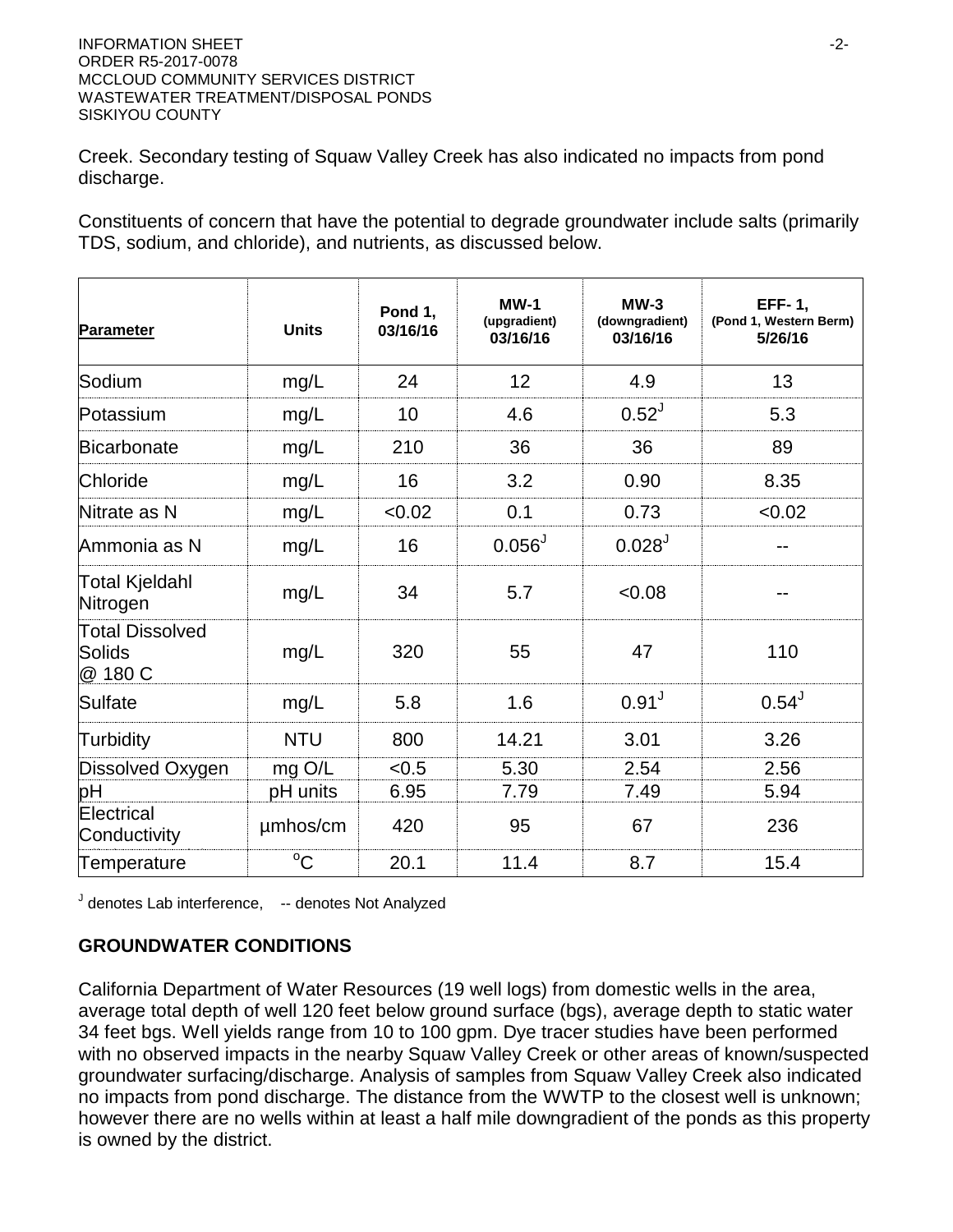- 11. The Discharger shall use the best practicable cost-effective control technique(s) including proper operation and maintenance, to comply with this Order.
- 12. The Discharger shall provide certified wastewater treatment plant operators in accordance with Title 23, division 3, chapter 26.
- 13. As described in the Standard Provisions, the Discharger shall report promptly to the Central Valley Water Board any material change or proposed change in the character, location, or volume of the discharge.
- 14. The Discharger shall report to the Central Valley Water Board any toxic chemical release data it reports to the State Emergency Response Commission within 15 days of reporting the data to the Commission pursuant to section 313 of the "Emergency Planning and Community Right to Know Act of 1986."
- 15. The Discharger shall comply with the requirements of the Statewide General Waste Discharge Requirements (General WDRs) for Sanitary Sewer Systems (Water Quality Order 2006-0003), the Revised General WDRs Monitoring and Reporting Program (Water Quality Order 2008-0002-EXEC), and any subsequent revisions thereto. Water Quality Order 2006-0003 and Order 2008-0002-EXEC require the Discharger to notify the Central Valley Water Board and take remedial action upon the reduction, loss, or failure of the sanitary sewer system resulting in a sanitary sewer overflow.
- 16. The Discharger shall not allow pollutant-free wastewater to be discharged into the wastewater collection, treatment, and disposal systems in amounts that significantly diminish the system's capability to comply with this Order. Pollutant-free wastewater means rainfall, groundwater, cooling waters, and condensates that are essentially free of pollutants.
- 17. At least **90 days** prior to termination or expiration of any lease, contract, or agreement involving disposal or recycling areas or off-site reuse of effluent, used to justify the capacity authorized herein and assure compliance with this Order, the Discharger shall notify the Central Valley Water Board in writing of the situation and of what measures have been taken or are being taken to assure full compliance with this Order.
- 18. In the event of any change in control or ownership of the WWTP, the Discharger must notify the succeeding owner or operator of the existence of this Order by letter, a copy of which shall be immediately forwarded to the Central Valley Water Board.
- 19. To assume operation as Discharger under this Order, the succeeding owner or operator must apply in writing to the Executive Officer requesting transfer of the Order. The request must contain the requesting entity's full legal name, the state of incorporation if a corporation, the name and address and telephone number of the persons responsible for contact with the Central Valley Water Board, and a statement. The statement shall comply with the signatory paragraph of Standard Provision B.3 and state that the new owner or operator assumes full responsibility for compliance with this Order. Failure to submit the request shall be considered a discharge without